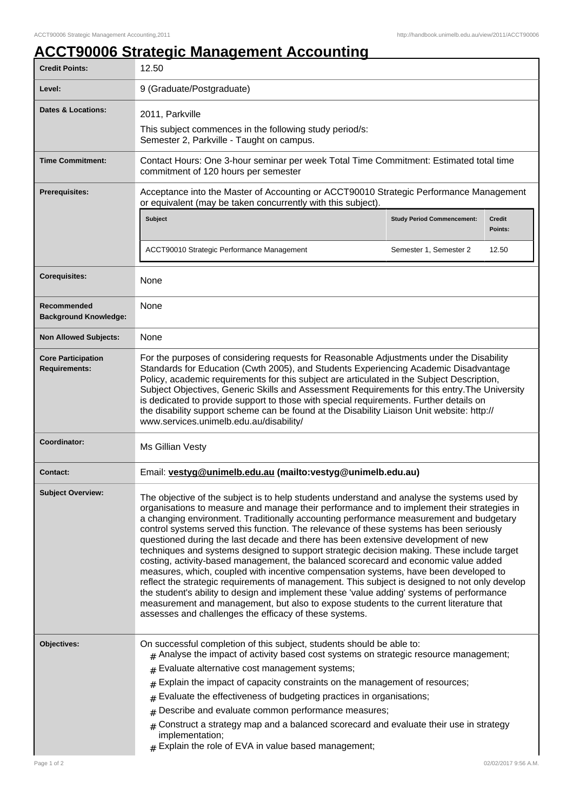## **ACCT90006 Strategic Management Accounting**

| <b>Credit Points:</b>                             | 12.50                                                                                                                                                                                                                                                                                                                                                                                                                                                                                                                                                                                                                                                                                                                                                                                                                                                                                                                                                                                                                                                                                               |                                   |                   |
|---------------------------------------------------|-----------------------------------------------------------------------------------------------------------------------------------------------------------------------------------------------------------------------------------------------------------------------------------------------------------------------------------------------------------------------------------------------------------------------------------------------------------------------------------------------------------------------------------------------------------------------------------------------------------------------------------------------------------------------------------------------------------------------------------------------------------------------------------------------------------------------------------------------------------------------------------------------------------------------------------------------------------------------------------------------------------------------------------------------------------------------------------------------------|-----------------------------------|-------------------|
| Level:                                            | 9 (Graduate/Postgraduate)                                                                                                                                                                                                                                                                                                                                                                                                                                                                                                                                                                                                                                                                                                                                                                                                                                                                                                                                                                                                                                                                           |                                   |                   |
| <b>Dates &amp; Locations:</b>                     | 2011, Parkville                                                                                                                                                                                                                                                                                                                                                                                                                                                                                                                                                                                                                                                                                                                                                                                                                                                                                                                                                                                                                                                                                     |                                   |                   |
|                                                   | This subject commences in the following study period/s:<br>Semester 2, Parkville - Taught on campus.                                                                                                                                                                                                                                                                                                                                                                                                                                                                                                                                                                                                                                                                                                                                                                                                                                                                                                                                                                                                |                                   |                   |
| <b>Time Commitment:</b>                           | Contact Hours: One 3-hour seminar per week Total Time Commitment: Estimated total time<br>commitment of 120 hours per semester                                                                                                                                                                                                                                                                                                                                                                                                                                                                                                                                                                                                                                                                                                                                                                                                                                                                                                                                                                      |                                   |                   |
| <b>Prerequisites:</b>                             | Acceptance into the Master of Accounting or ACCT90010 Strategic Performance Management<br>or equivalent (may be taken concurrently with this subject).                                                                                                                                                                                                                                                                                                                                                                                                                                                                                                                                                                                                                                                                                                                                                                                                                                                                                                                                              |                                   |                   |
|                                                   | <b>Subject</b>                                                                                                                                                                                                                                                                                                                                                                                                                                                                                                                                                                                                                                                                                                                                                                                                                                                                                                                                                                                                                                                                                      | <b>Study Period Commencement:</b> | Credit<br>Points: |
|                                                   | ACCT90010 Strategic Performance Management                                                                                                                                                                                                                                                                                                                                                                                                                                                                                                                                                                                                                                                                                                                                                                                                                                                                                                                                                                                                                                                          | Semester 1, Semester 2            | 12.50             |
| <b>Corequisites:</b>                              | None                                                                                                                                                                                                                                                                                                                                                                                                                                                                                                                                                                                                                                                                                                                                                                                                                                                                                                                                                                                                                                                                                                |                                   |                   |
| Recommended<br><b>Background Knowledge:</b>       | None                                                                                                                                                                                                                                                                                                                                                                                                                                                                                                                                                                                                                                                                                                                                                                                                                                                                                                                                                                                                                                                                                                |                                   |                   |
| <b>Non Allowed Subjects:</b>                      | None                                                                                                                                                                                                                                                                                                                                                                                                                                                                                                                                                                                                                                                                                                                                                                                                                                                                                                                                                                                                                                                                                                |                                   |                   |
| <b>Core Participation</b><br><b>Requirements:</b> | For the purposes of considering requests for Reasonable Adjustments under the Disability<br>Standards for Education (Cwth 2005), and Students Experiencing Academic Disadvantage<br>Policy, academic requirements for this subject are articulated in the Subject Description,<br>Subject Objectives, Generic Skills and Assessment Requirements for this entry. The University<br>is dedicated to provide support to those with special requirements. Further details on<br>the disability support scheme can be found at the Disability Liaison Unit website: http://<br>www.services.unimelb.edu.au/disability/                                                                                                                                                                                                                                                                                                                                                                                                                                                                                  |                                   |                   |
| Coordinator:                                      | Ms Gillian Vesty                                                                                                                                                                                                                                                                                                                                                                                                                                                                                                                                                                                                                                                                                                                                                                                                                                                                                                                                                                                                                                                                                    |                                   |                   |
| <b>Contact:</b>                                   | Email: vestyg@unimelb.edu.au (mailto:vestyg@unimelb.edu.au)                                                                                                                                                                                                                                                                                                                                                                                                                                                                                                                                                                                                                                                                                                                                                                                                                                                                                                                                                                                                                                         |                                   |                   |
| <b>Subject Overview:</b>                          | The objective of the subject is to help students understand and analyse the systems used by<br>organisations to measure and manage their performance and to implement their strategies in<br>a changing environment. Traditionally accounting performance measurement and budgetary<br>control systems served this function. The relevance of these systems has been seriously<br>questioned during the last decade and there has been extensive development of new<br>techniques and systems designed to support strategic decision making. These include target<br>costing, activity-based management, the balanced scorecard and economic value added<br>measures, which, coupled with incentive compensation systems, have been developed to<br>reflect the strategic requirements of management. This subject is designed to not only develop<br>the student's ability to design and implement these 'value adding' systems of performance<br>measurement and management, but also to expose students to the current literature that<br>assesses and challenges the efficacy of these systems. |                                   |                   |
| Objectives:                                       | On successful completion of this subject, students should be able to:<br>$_{\#}$ Analyse the impact of activity based cost systems on strategic resource management;<br>Evaluate alternative cost management systems;<br>#<br>Explain the impact of capacity constraints on the management of resources;<br>#<br>Evaluate the effectiveness of budgeting practices in organisations;<br>#<br>Describe and evaluate common performance measures;<br>$\#$<br>Construct a strategy map and a balanced scorecard and evaluate their use in strategy<br>#<br>implementation;<br>$#$ Explain the role of EVA in value based management;                                                                                                                                                                                                                                                                                                                                                                                                                                                                   |                                   |                   |